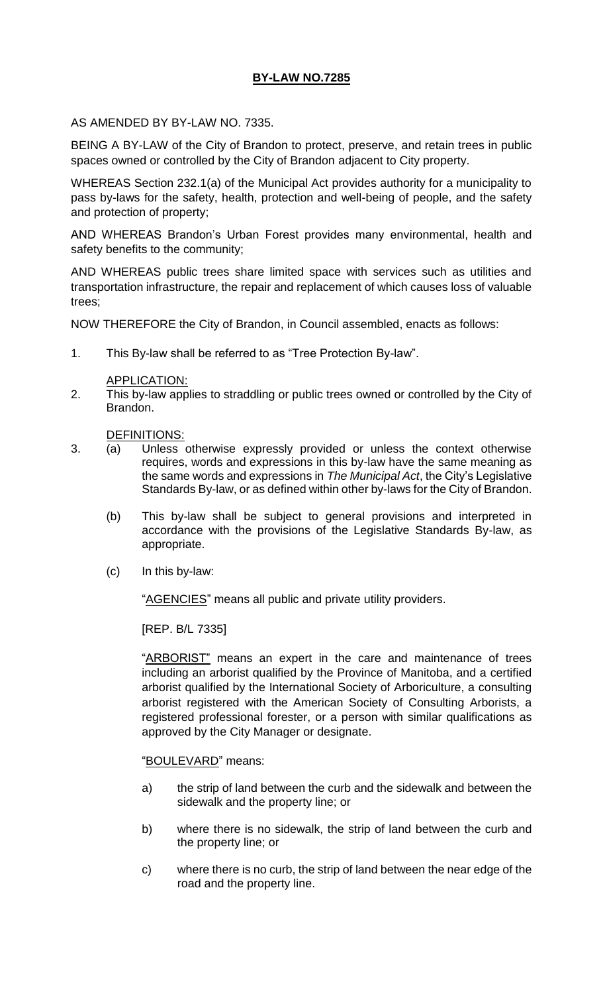# **BY-LAW NO.7285**

### AS AMENDED BY BY-LAW NO. 7335.

BEING A BY-LAW of the City of Brandon to protect, preserve, and retain trees in public spaces owned or controlled by the City of Brandon adjacent to City property.

WHEREAS Section 232.1(a) of the Municipal Act provides authority for a municipality to pass by-laws for the safety, health, protection and well-being of people, and the safety and protection of property;

AND WHEREAS Brandon's Urban Forest provides many environmental, health and safety benefits to the community;

AND WHEREAS public trees share limited space with services such as utilities and transportation infrastructure, the repair and replacement of which causes loss of valuable trees;

NOW THEREFORE the City of Brandon, in Council assembled, enacts as follows:

1. This By-law shall be referred to as "Tree Protection By-law".

#### APPLICATION:

2. This by-law applies to straddling or public trees owned or controlled by the City of Brandon.

#### DEFINITIONS:

- 3. (a) Unless otherwise expressly provided or unless the context otherwise requires, words and expressions in this by-law have the same meaning as the same words and expressions in *The Municipal Act*, the City's Legislative Standards By-law, or as defined within other by-laws for the City of Brandon.
	- (b) This by-law shall be subject to general provisions and interpreted in accordance with the provisions of the Legislative Standards By-law, as appropriate.
	- (c) In this by-law:

"AGENCIES" means all public and private utility providers.

[REP. B/L 7335]

"ARBORIST" means an expert in the care and maintenance of trees including an arborist qualified by the Province of Manitoba, and a certified arborist qualified by the International Society of Arboriculture, a consulting arborist registered with the American Society of Consulting Arborists, a registered professional forester, or a person with similar qualifications as approved by the City Manager or designate.

# "BOULEVARD" means:

- a) the strip of land between the curb and the sidewalk and between the sidewalk and the property line; or
- b) where there is no sidewalk, the strip of land between the curb and the property line; or
- c) where there is no curb, the strip of land between the near edge of the road and the property line.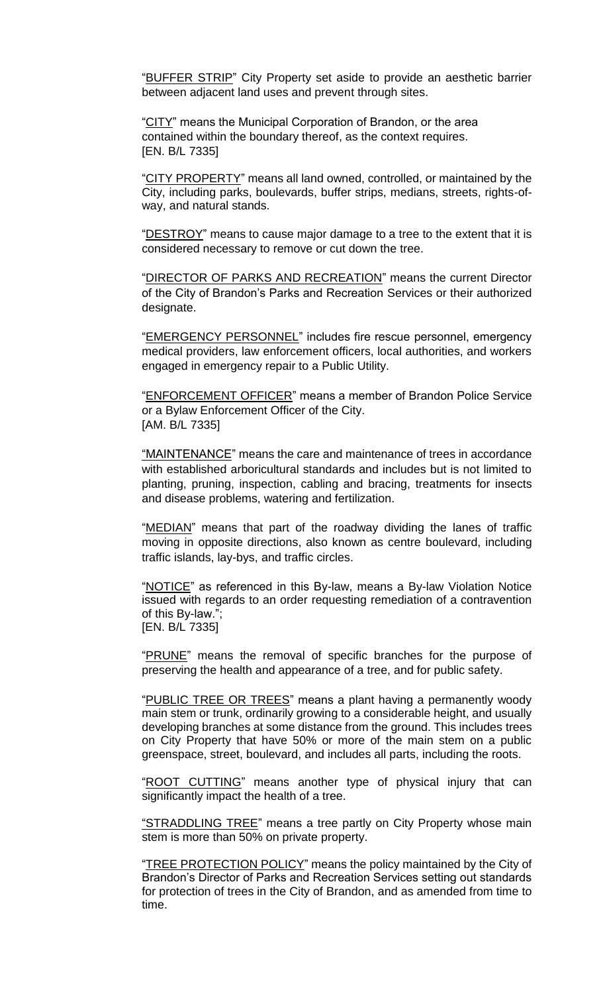"BUFFER STRIP" City Property set aside to provide an aesthetic barrier between adjacent land uses and prevent through sites.

"CITY" means the Municipal Corporation of Brandon, or the area contained within the boundary thereof, as the context requires. [EN. B/L 7335]

"CITY PROPERTY" means all land owned, controlled, or maintained by the City, including parks, boulevards, buffer strips, medians, streets, rights-ofway, and natural stands.

"DESTROY" means to cause major damage to a tree to the extent that it is considered necessary to remove or cut down the tree.

"DIRECTOR OF PARKS AND RECREATION" means the current Director of the City of Brandon's Parks and Recreation Services or their authorized designate.

"EMERGENCY PERSONNEL" includes fire rescue personnel, emergency medical providers, law enforcement officers, local authorities, and workers engaged in emergency repair to a Public Utility.

"ENFORCEMENT OFFICER" means a member of Brandon Police Service or a Bylaw Enforcement Officer of the City. [AM. B/L 7335]

"MAINTENANCE" means the care and maintenance of trees in accordance with established arboricultural standards and includes but is not limited to planting, pruning, inspection, cabling and bracing, treatments for insects and disease problems, watering and fertilization.

"MEDIAN" means that part of the roadway dividing the lanes of traffic moving in opposite directions, also known as centre boulevard, including traffic islands, lay-bys, and traffic circles.

"NOTICE" as referenced in this By-law, means a By-law Violation Notice issued with regards to an order requesting remediation of a contravention of this By-law."; [EN. B/L 7335]

"PRUNE" means the removal of specific branches for the purpose of preserving the health and appearance of a tree, and for public safety.

"PUBLIC TREE OR TREES" means a plant having a permanently woody main stem or trunk, ordinarily growing to a considerable height, and usually developing branches at some distance from the ground. This includes trees on City Property that have 50% or more of the main stem on a public greenspace, street, boulevard, and includes all parts, including the roots.

"ROOT CUTTING" means another type of physical injury that can significantly impact the health of a tree.

"STRADDLING TREE" means a tree partly on City Property whose main stem is more than 50% on private property.

"TREE PROTECTION POLICY" means the policy maintained by the City of Brandon's Director of Parks and Recreation Services setting out standards for protection of trees in the City of Brandon, and as amended from time to time.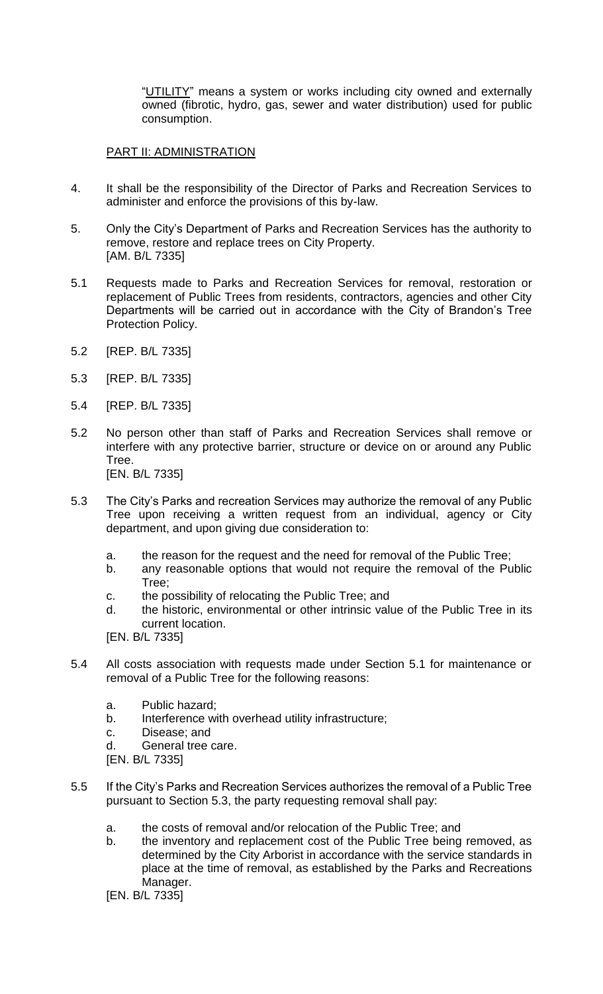"UTILITY" means a system or works including city owned and externally owned (fibrotic, hydro, gas, sewer and water distribution) used for public consumption.

# PART II: ADMINISTRATION

- 4. It shall be the responsibility of the Director of Parks and Recreation Services to administer and enforce the provisions of this by-law.
- 5. Only the City's Department of Parks and Recreation Services has the authority to remove, restore and replace trees on City Property. [AM. B/L 7335]
- 5.1 Requests made to Parks and Recreation Services for removal, restoration or replacement of Public Trees from residents, contractors, agencies and other City Departments will be carried out in accordance with the City of Brandon's Tree Protection Policy.
- 5.2 [REP. B/L 7335]
- 5.3 [REP. B/L 7335]
- 5.4 [REP. B/L 7335]
- 5.2 No person other than staff of Parks and Recreation Services shall remove or interfere with any protective barrier, structure or device on or around any Public Tree. [EN. B/L 7335]
- 5.3 The City's Parks and recreation Services may authorize the removal of any Public Tree upon receiving a written request from an individual, agency or City department, and upon giving due consideration to:
	- a. the reason for the request and the need for removal of the Public Tree;
	- b. any reasonable options that would not require the removal of the Public Tree;
	- c. the possibility of relocating the Public Tree; and
	- d. the historic, environmental or other intrinsic value of the Public Tree in its current location.
	- [EN. B/L 7335]
- 5.4 All costs association with requests made under Section 5.1 for maintenance or removal of a Public Tree for the following reasons:
	- a. Public hazard;
	- b. Interference with overhead utility infrastructure;
	- c. Disease; and
	- d. General tree care.
	- [EN. B/L 7335]
- 5.5 If the City's Parks and Recreation Services authorizes the removal of a Public Tree pursuant to Section 5.3, the party requesting removal shall pay:
	- a. the costs of removal and/or relocation of the Public Tree; and
	- b. the inventory and replacement cost of the Public Tree being removed, as determined by the City Arborist in accordance with the service standards in place at the time of removal, as established by the Parks and Recreations Manager.

[EN. B/L 7335]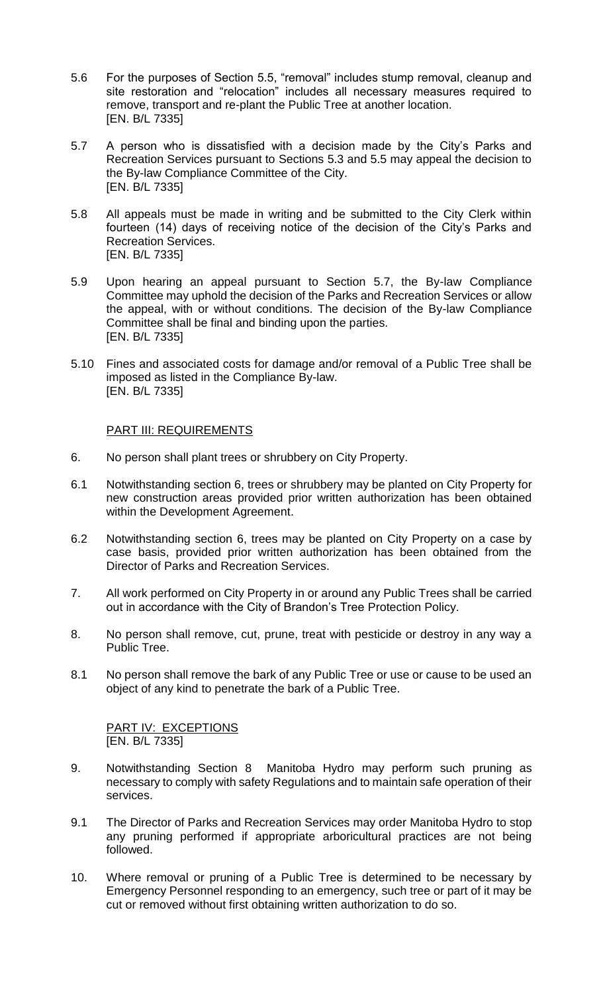- 5.6 For the purposes of Section 5.5, "removal" includes stump removal, cleanup and site restoration and "relocation" includes all necessary measures required to remove, transport and re-plant the Public Tree at another location. [EN. B/L 7335]
- 5.7 A person who is dissatisfied with a decision made by the City's Parks and Recreation Services pursuant to Sections 5.3 and 5.5 may appeal the decision to the By-law Compliance Committee of the City. [EN. B/L 7335]
- 5.8 All appeals must be made in writing and be submitted to the City Clerk within fourteen (14) days of receiving notice of the decision of the City's Parks and Recreation Services. [EN. B/L 7335]
- 5.9 Upon hearing an appeal pursuant to Section 5.7, the By-law Compliance Committee may uphold the decision of the Parks and Recreation Services or allow the appeal, with or without conditions. The decision of the By-law Compliance Committee shall be final and binding upon the parties. [EN. B/L 7335]
- 5.10 Fines and associated costs for damage and/or removal of a Public Tree shall be imposed as listed in the Compliance By-law. [EN. B/L 7335]

#### PART III: REQUIREMENTS

- 6. No person shall plant trees or shrubbery on City Property.
- 6.1 Notwithstanding section 6, trees or shrubbery may be planted on City Property for new construction areas provided prior written authorization has been obtained within the Development Agreement.
- 6.2 Notwithstanding section 6, trees may be planted on City Property on a case by case basis, provided prior written authorization has been obtained from the Director of Parks and Recreation Services.
- 7. All work performed on City Property in or around any Public Trees shall be carried out in accordance with the City of Brandon's Tree Protection Policy.
- 8. No person shall remove, cut, prune, treat with pesticide or destroy in any way a Public Tree.
- 8.1 No person shall remove the bark of any Public Tree or use or cause to be used an object of any kind to penetrate the bark of a Public Tree.

PART IV: EXCEPTIONS [EN. B/L 7335]

- 9. Notwithstanding Section 8 Manitoba Hydro may perform such pruning as necessary to comply with safety Regulations and to maintain safe operation of their services.
- 9.1 The Director of Parks and Recreation Services may order Manitoba Hydro to stop any pruning performed if appropriate arboricultural practices are not being followed.
- 10. Where removal or pruning of a Public Tree is determined to be necessary by Emergency Personnel responding to an emergency, such tree or part of it may be cut or removed without first obtaining written authorization to do so.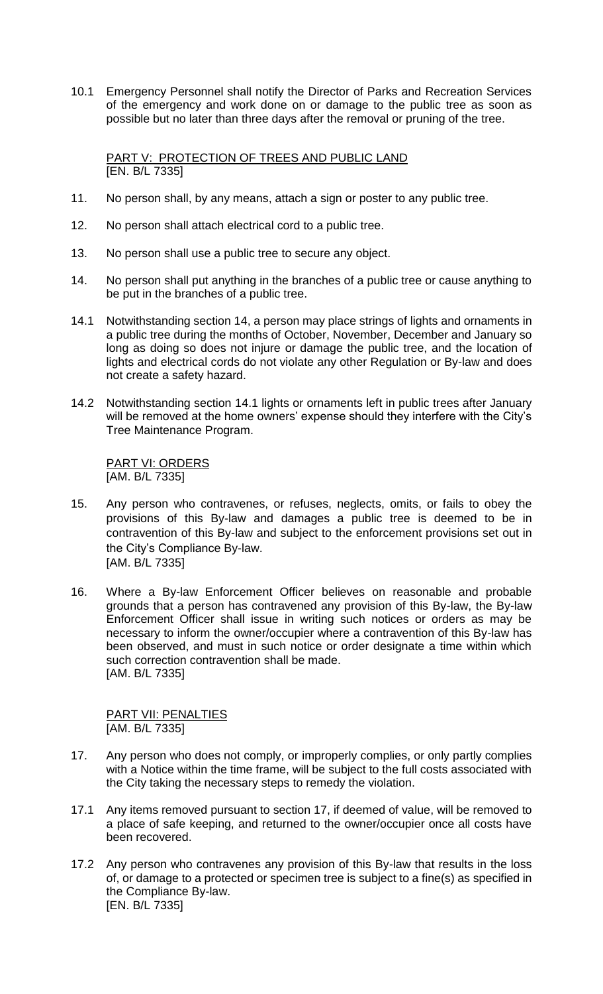10.1 Emergency Personnel shall notify the Director of Parks and Recreation Services of the emergency and work done on or damage to the public tree as soon as possible but no later than three days after the removal or pruning of the tree.

PART V: PROTECTION OF TREES AND PUBLIC LAND [EN. B/L 7335]

- 11. No person shall, by any means, attach a sign or poster to any public tree.
- 12. No person shall attach electrical cord to a public tree.
- 13. No person shall use a public tree to secure any object.
- 14. No person shall put anything in the branches of a public tree or cause anything to be put in the branches of a public tree.
- 14.1 Notwithstanding section 14, a person may place strings of lights and ornaments in a public tree during the months of October, November, December and January so long as doing so does not injure or damage the public tree, and the location of lights and electrical cords do not violate any other Regulation or By-law and does not create a safety hazard.
- 14.2 Notwithstanding section 14.1 lights or ornaments left in public trees after January will be removed at the home owners' expense should they interfere with the City's Tree Maintenance Program.

PART VI: ORDERS [AM. B/L 7335]

- 15. Any person who contravenes, or refuses, neglects, omits, or fails to obey the provisions of this By-law and damages a public tree is deemed to be in contravention of this By-law and subject to the enforcement provisions set out in the City's Compliance By-law. [AM. B/L 7335]
- 16. Where a By-law Enforcement Officer believes on reasonable and probable grounds that a person has contravened any provision of this By-law, the By-law Enforcement Officer shall issue in writing such notices or orders as may be necessary to inform the owner/occupier where a contravention of this By-law has been observed, and must in such notice or order designate a time within which such correction contravention shall be made. [AM. B/L 7335]

PART VII: PENALTIES [AM. B/L 7335]

- 17. Any person who does not comply, or improperly complies, or only partly complies with a Notice within the time frame, will be subject to the full costs associated with the City taking the necessary steps to remedy the violation.
- 17.1 Any items removed pursuant to section 17, if deemed of value, will be removed to a place of safe keeping, and returned to the owner/occupier once all costs have been recovered.
- 17.2 Any person who contravenes any provision of this By-law that results in the loss of, or damage to a protected or specimen tree is subject to a fine(s) as specified in the Compliance By-law. [EN. B/L 7335]